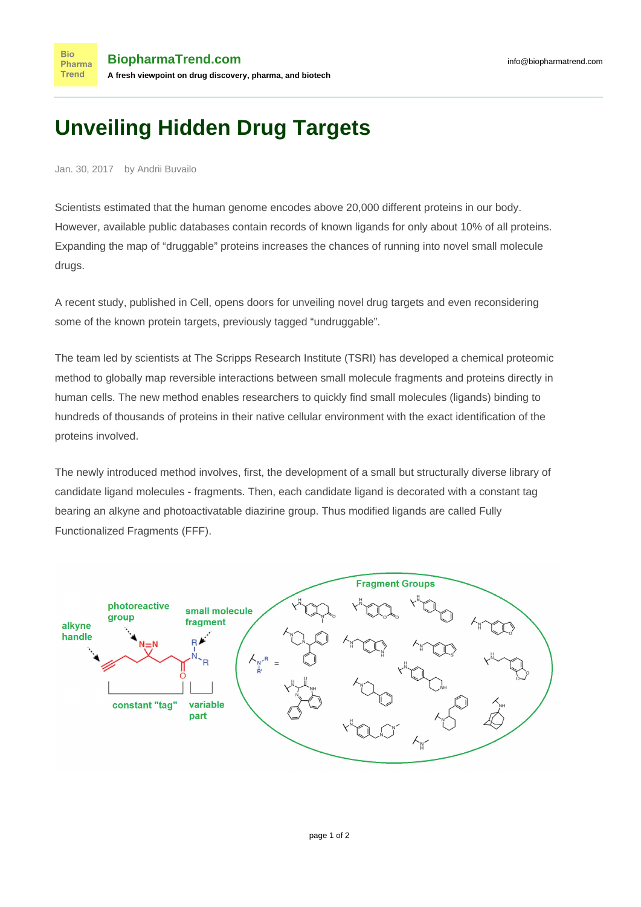## **Unveiling Hidden Drug Targets**

Jan. 30, 2017 by Andrii Buvailo

**Bio** 

Scientists estimated that the human genome encodes above 20,000 different proteins in our body. However, available public databases contain records of known ligands for only about 10% of all proteins. Expanding the map of "druggable" proteins increases the chances of running into novel small molecule drugs.

A recent study, [published in Cell,](http://www.sciencedirect.com/science/article/pii/S0092867416317457) opens doors for unveiling novel drug targets and even reconsidering some of the known protein targets, previously tagged "undruggable".

The team led by scientists at The Scripps Research Institute (TSRI) has developed a chemical proteomic method to globally map reversible interactions between small molecule fragments and proteins directly in human cells. The new method enables researchers to quickly find small molecules (ligands) binding to hundreds of thousands of proteins in their native cellular environment with the exact identification of the proteins involved.

The newly introduced method involves, first, the development of a small but structurally diverse library of candidate ligand molecules - fragments. Then, each candidate ligand is decorated with a constant tag bearing an alkyne and photoactivatable diazirine group. Thus modified ligands are called Fully Functionalized Fragments (FFF).